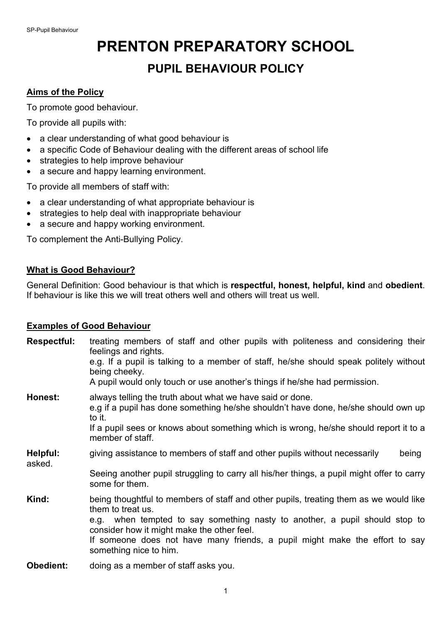# **PRENTON PREPARATORY SCHOOL PUPIL BEHAVIOUR POLICY**

### **Aims of the Policy**

To promote good behaviour.

To provide all pupils with:

- a clear understanding of what good behaviour is
- a specific Code of Behaviour dealing with the different areas of school life
- strategies to help improve behaviour
- a secure and happy learning environment.

To provide all members of staff with:

- a clear understanding of what appropriate behaviour is
- strategies to help deal with inappropriate behaviour
- a secure and happy working environment.

To complement the Anti-Bullying Policy.

#### **What is Good Behaviour?**

General Definition: Good behaviour is that which is **respectful, honest, helpful, kind** and **obedient**. If behaviour is like this we will treat others well and others will treat us well.

#### **Examples of Good Behaviour**

| <b>Respectful:</b> | treating members of staff and other pupils with politeness and considering their<br>feelings and rights.<br>e.g. If a pupil is talking to a member of staff, he/she should speak politely without<br>being cheeky.<br>A pupil would only touch or use another's things if he/she had permission.                                                 |
|--------------------|--------------------------------------------------------------------------------------------------------------------------------------------------------------------------------------------------------------------------------------------------------------------------------------------------------------------------------------------------|
| Honest:            | always telling the truth about what we have said or done.<br>e.g if a pupil has done something he/she shouldn't have done, he/she should own up<br>to it.<br>If a pupil sees or knows about something which is wrong, he/she should report it to a<br>member of staff.                                                                           |
| Helpful:<br>asked. | giving assistance to members of staff and other pupils without necessarily<br>being                                                                                                                                                                                                                                                              |
|                    | Seeing another pupil struggling to carry all his/her things, a pupil might offer to carry<br>some for them.                                                                                                                                                                                                                                      |
| Kind:              | being thoughtful to members of staff and other pupils, treating them as we would like<br>them to treat us.<br>e.g. when tempted to say something nasty to another, a pupil should stop to<br>consider how it might make the other feel.<br>If someone does not have many friends, a pupil might make the effort to say<br>something nice to him. |
|                    | the boundary of the conclusion of the first state and con-                                                                                                                                                                                                                                                                                       |

**Obedient:** doing as a member of staff asks you.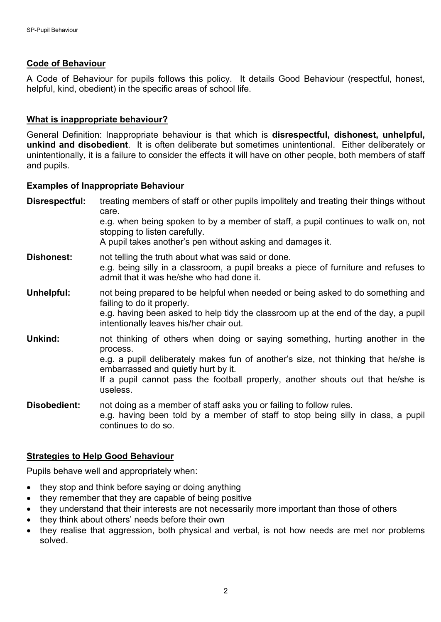### **Code of Behaviour**

A Code of Behaviour for pupils follows this policy. It details Good Behaviour (respectful, honest, helpful, kind, obedient) in the specific areas of school life.

## **What is inappropriate behaviour?**

General Definition: Inappropriate behaviour is that which is **disrespectful, dishonest, unhelpful, unkind and disobedient**. It is often deliberate but sometimes unintentional. Either deliberately or unintentionally, it is a failure to consider the effects it will have on other people, both members of staff and pupils.

#### **Examples of Inappropriate Behaviour**

| Disrespectful:    | treating members of staff or other pupils impolitely and treating their things without<br>care.<br>e.g. when being spoken to by a member of staff, a pupil continues to walk on, not<br>stopping to listen carefully.<br>A pupil takes another's pen without asking and damages it.                                   |
|-------------------|-----------------------------------------------------------------------------------------------------------------------------------------------------------------------------------------------------------------------------------------------------------------------------------------------------------------------|
| <b>Dishonest:</b> | not telling the truth about what was said or done.<br>e.g. being silly in a classroom, a pupil breaks a piece of furniture and refuses to<br>admit that it was he/she who had done it.                                                                                                                                |
| Unhelpful:        | not being prepared to be helpful when needed or being asked to do something and<br>failing to do it properly.<br>e.g. having been asked to help tidy the classroom up at the end of the day, a pupil<br>intentionally leaves his/her chair out.                                                                       |
| Unkind:           | not thinking of others when doing or saying something, hurting another in the<br>process.<br>e.g. a pupil deliberately makes fun of another's size, not thinking that he/she is<br>embarrassed and quietly hurt by it.<br>If a pupil cannot pass the football properly, another shouts out that he/she is<br>useless. |
| Disobedient:      | not doing as a member of staff asks you or failing to follow rules.<br>e.g. having been told by a member of staff to stop being silly in class, a pupil<br>continues to do so.                                                                                                                                        |

#### **Strategies to Help Good Behaviour**

Pupils behave well and appropriately when:

- they stop and think before saying or doing anything
- they remember that they are capable of being positive
- they understand that their interests are not necessarily more important than those of others
- they think about others' needs before their own
- they realise that aggression, both physical and verbal, is not how needs are met nor problems solved.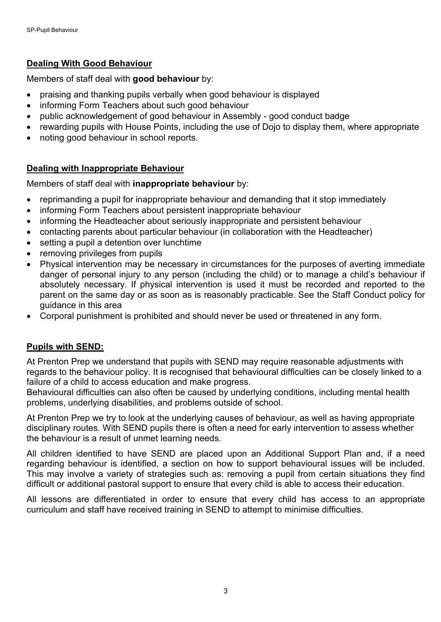# **Dealing With Good Behaviour**

Members of staff deal with **good behaviour** by:

- praising and thanking pupils verbally when good behaviour is displayed
- informing Form Teachers about such good behaviour
- public acknowledgement of good behaviour in Assembly good conduct badge
- rewarding pupils with House Points, including the use of Dojo to display them, where appropriate
- noting good behaviour in school reports.

## **Dealing with Inappropriate Behaviour**

Members of staff deal with **inappropriate behaviour** by:

- reprimanding a pupil for inappropriate behaviour and demanding that it stop immediately
- informing Form Teachers about persistent inappropriate behaviour
- informing the Headteacher about seriously inappropriate and persistent behaviour
- contacting parents about particular behaviour (in collaboration with the Headteacher)
- setting a pupil a detention over lunchtime
- removing privileges from pupils
- Physical intervention may be necessary in circumstances for the purposes of averting immediate danger of personal injury to any person (including the child) or to manage a child's behaviour if absolutely necessary. If physical intervention is used it must be recorded and reported to the parent on the same day or as soon as is reasonably practicable. See the Staff Conduct policy for guidance in this area
- Corporal punishment is prohibited and should never be used or threatened in any form.

# **Pupils with SEND:**

At Prenton Prep we understand that pupils with SEND may require reasonable adjustments with regards to the behaviour policy. It is recognised that behavioural difficulties can be closely linked to a failure of a child to access education and make progress.

Behavioural difficulties can also often be caused by underlying conditions, including mental health problems, underlying disabilities, and problems outside of school.

At Prenton Prep we try to look at the underlying causes of behaviour, as well as having appropriate disciplinary routes. With SEND pupils there is often a need for early intervention to assess whether the behaviour is a result of unmet learning needs.

All children identified to have SEND are placed upon an Additional Support Plan and, if a need regarding behaviour is identified, a section on how to support behavioural issues will be included. This may involve a variety of strategies such as: removing a pupil from certain situations they find difficult or additional pastoral support to ensure that every child is able to access their education.

All lessons are differentiated in order to ensure that every child has access to an appropriate curriculum and staff have received training in SEND to attempt to minimise difficulties.